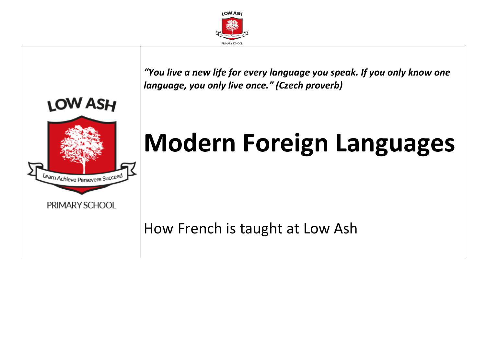

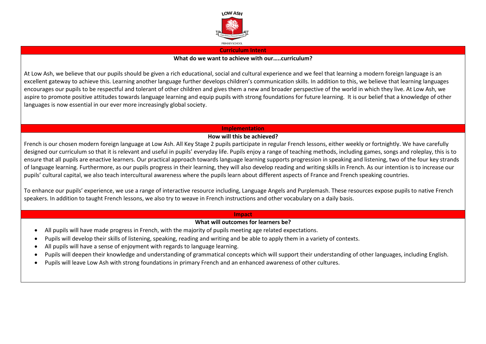

#### **Curriculum Intent**

### **What do we want to achieve with our…..curriculum?**

At Low Ash, we believe that our pupils should be given a rich educational, social and cultural experience and we feel that learning a modern foreign language is an excellent gateway to achieve this. Learning another language further develops children's communication skills. In addition to this, we believe that learning languages encourages our pupils to be respectful and tolerant of other children and gives them a new and broader perspective of the world in which they live. At Low Ash, we aspire to promote positive attitudes towards language learning and equip pupils with strong foundations for future learning. It is our belief that a knowledge of other languages is now essential in our ever more increasingly global society.

### **Implementation**

# **How will this be achieved?**

French is our chosen modern foreign language at Low Ash. All Key Stage 2 pupils participate in regular French lessons, either weekly or fortnightly. We have carefully designed our curriculum so that it is relevant and useful in pupils' everyday life. Pupils enjoy a range of teaching methods, including games, songs and roleplay, this is to ensure that all pupils are enactive learners. Our practical approach towards language learning supports progression in speaking and listening, two of the four key strands of language learning. Furthermore, as our pupils progress in their learning, they will also develop reading and writing skills in French. As our intention is to increase our pupils' cultural capital, we also teach intercultural awareness where the pupils learn about different aspects of France and French speaking countries.

To enhance our pupils' experience, we use a range of interactive resource including, Language Angels and Purplemash. These resources expose pupils to native French speakers. In addition to taught French lessons, we also try to weave in French instructions and other vocabulary on a daily basis.

### **Impact**

# **What will outcomes for learners be?**

- All pupils will have made progress in French, with the majority of pupils meeting age related expectations.
- Pupils will develop their skills of listening, speaking, reading and writing and be able to apply them in a variety of contexts.
- All pupils will have a sense of enjoyment with regards to language learning.
- Pupils will deepen their knowledge and understanding of grammatical concepts which will support their understanding of other languages, including English.
- Pupils will leave Low Ash with strong foundations in primary French and an enhanced awareness of other cultures.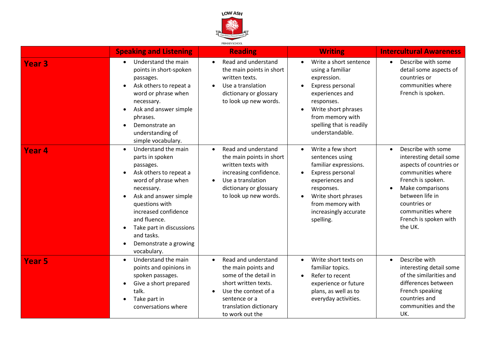

|                   | <b>Speaking and Listening</b>                                                                                                                                                                                                                                                                                     | <b>Reading</b>                                                                                                                                                                                              | <b>Writing</b>                                                                                                                                                                                                   | <b>Intercultural Awareness</b>                                                                                                                                                                                                                               |
|-------------------|-------------------------------------------------------------------------------------------------------------------------------------------------------------------------------------------------------------------------------------------------------------------------------------------------------------------|-------------------------------------------------------------------------------------------------------------------------------------------------------------------------------------------------------------|------------------------------------------------------------------------------------------------------------------------------------------------------------------------------------------------------------------|--------------------------------------------------------------------------------------------------------------------------------------------------------------------------------------------------------------------------------------------------------------|
| <b>Year 3</b>     | Understand the main<br>$\bullet$<br>points in short-spoken<br>passages.<br>Ask others to repeat a<br>$\bullet$<br>word or phrase when<br>necessary.<br>Ask and answer simple<br>phrases.<br>Demonstrate an<br>understanding of<br>simple vocabulary.                                                              | Read and understand<br>$\bullet$<br>the main points in short<br>written texts.<br>Use a translation<br>$\bullet$<br>dictionary or glossary<br>to look up new words.                                         | Write a short sentence<br>using a familiar<br>expression.<br>Express personal<br>experiences and<br>responses.<br>Write short phrases<br>from memory with<br>spelling that is readily<br>understandable.         | Describe with some<br>$\bullet$<br>detail some aspects of<br>countries or<br>communities where<br>French is spoken.                                                                                                                                          |
| Year <sub>4</sub> | Understand the main<br>$\bullet$<br>parts in spoken<br>passages.<br>Ask others to repeat a<br>word of phrase when<br>necessary.<br>Ask and answer simple<br>questions with<br>increased confidence<br>and fluence.<br>Take part in discussions<br>and tasks.<br>Demonstrate a growing<br>$\bullet$<br>vocabulary. | Read and understand<br>$\bullet$<br>the main points in short<br>written texts with<br>increasing confidence.<br>Use a translation<br>$\bullet$<br>dictionary or glossary<br>to look up new words.           | Write a few short<br>$\bullet$<br>sentences using<br>familiar expressions.<br>Express personal<br>experiences and<br>responses.<br>Write short phrases<br>from memory with<br>increasingly accurate<br>spelling. | Describe with some<br>$\bullet$<br>interesting detail some<br>aspects of countries or<br>communities where<br>French is spoken.<br>Make comparisons<br>$\bullet$<br>between life in<br>countries or<br>communities where<br>French is spoken with<br>the UK. |
| <b>Year 5</b>     | Understand the main<br>$\bullet$<br>points and opinions in<br>spoken passages.<br>Give a short prepared<br>$\bullet$<br>talk.<br>Take part in<br>conversations where                                                                                                                                              | Read and understand<br>$\bullet$<br>the main points and<br>some of the detail in<br>short written texts.<br>Use the context of a<br>$\bullet$<br>sentence or a<br>translation dictionary<br>to work out the | Write short texts on<br>$\bullet$<br>familiar topics.<br>Refer to recent<br>experience or future<br>plans, as well as to<br>everyday activities.                                                                 | Describe with<br>$\bullet$<br>interesting detail some<br>of the similarities and<br>differences between<br>French speaking<br>countries and<br>communities and the<br>UK.                                                                                    |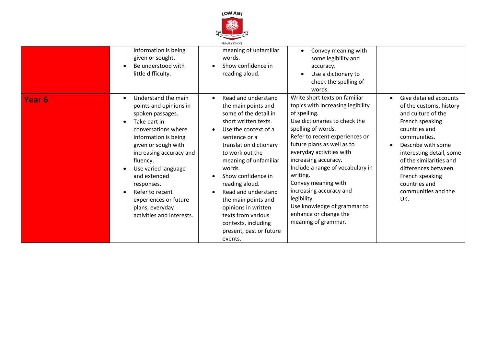

|                   |                                                                                                                                                                                                                                                                                                                                                              | PRIMARY SCHOOL                                                                                                                                                                                                                                                                                                                                                                                                                                              |                                                                                                                                                                                                                                                                                                                                                                                                                                                               |                                                                                                                                                                                                                                                                                                                |
|-------------------|--------------------------------------------------------------------------------------------------------------------------------------------------------------------------------------------------------------------------------------------------------------------------------------------------------------------------------------------------------------|-------------------------------------------------------------------------------------------------------------------------------------------------------------------------------------------------------------------------------------------------------------------------------------------------------------------------------------------------------------------------------------------------------------------------------------------------------------|---------------------------------------------------------------------------------------------------------------------------------------------------------------------------------------------------------------------------------------------------------------------------------------------------------------------------------------------------------------------------------------------------------------------------------------------------------------|----------------------------------------------------------------------------------------------------------------------------------------------------------------------------------------------------------------------------------------------------------------------------------------------------------------|
|                   | information is being<br>given or sought.<br>Be understood with<br>little difficulty.                                                                                                                                                                                                                                                                         | meaning of unfamiliar<br>words.<br>Show confidence in<br>$\bullet$<br>reading aloud.                                                                                                                                                                                                                                                                                                                                                                        | Convey meaning with<br>some legibility and<br>accuracy.<br>Use a dictionary to<br>$\bullet$<br>check the spelling of<br>words.                                                                                                                                                                                                                                                                                                                                |                                                                                                                                                                                                                                                                                                                |
| Year <sub>6</sub> | Understand the main<br>$\bullet$<br>points and opinions in<br>spoken passages.<br>Take part in<br>conversations where<br>information is being<br>given or sough with<br>increasing accuracy and<br>fluency.<br>Use varied language<br>and extended<br>responses.<br>Refer to recent<br>experiences or future<br>plans, everyday<br>activities and interests. | Read and understand<br>$\bullet$<br>the main points and<br>some of the detail in<br>short written texts.<br>Use the context of a<br>$\bullet$<br>sentence or a<br>translation dictionary<br>to work out the<br>meaning of unfamiliar<br>words.<br>Show confidence in<br>reading aloud.<br>Read and understand<br>$\bullet$<br>the main points and<br>opinions in written<br>texts from various<br>contexts, including<br>present, past or future<br>events. | Write short texts on familiar<br>topics with increasing legibility<br>of spelling.<br>Use dictionaries to check the<br>spelling of words.<br>Refer to recent experiences or<br>future plans as well as to<br>everyday activities with<br>increasing accuracy.<br>Include a range of vocabulary in<br>writing.<br>Convey meaning with<br>increasing accuracy and<br>legibility.<br>Use knowledge of grammar to<br>enhance or change the<br>meaning of grammar. | Give detailed accounts<br>$\bullet$<br>of the customs, history<br>and culture of the<br>French speaking<br>countries and<br>communities.<br>Describe with some<br>interesting detail, some<br>of the similarities and<br>differences between<br>French speaking<br>countries and<br>communities and the<br>UK. |